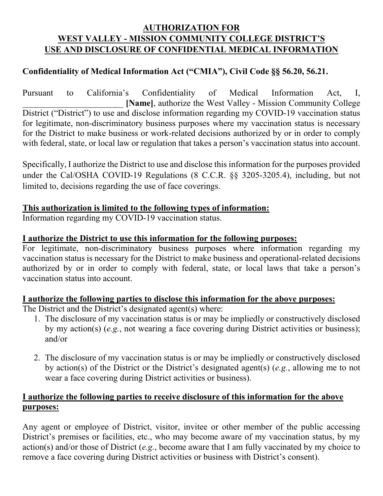# **AUTHORIZATION FOR WEST VALLEY - MISSION COMMUNITY COLLEGE DISTRICT'S USE AND DISCLOSURE OF CONFIDENTIAL MEDICAL INFORMATION**

## **Confidentiality of Medical Information Act ("CMIA"), Civil Code §§ 56.20, 56.21.**

Pursuant to California's Confidentiality of Medical Information Act, I, \_\_\_\_\_\_\_\_\_\_\_\_\_\_\_\_\_\_\_\_\_\_\_ **[Name]**, authorize the West Valley - Mission Community College District ("District") to use and disclose information regarding my COVID-19 vaccination status for legitimate, non-discriminatory business purposes where my vaccination status is necessary for the District to make business or work-related decisions authorized by or in order to comply with federal, state, or local law or regulation that takes a person's vaccination status into account.

Specifically, I authorize the District to use and disclose this information for the purposes provided under the Cal/OSHA COVID-19 Regulations (8 C.C.R. §§ 3205-3205.4), including, but not limited to, decisions regarding the use of face coverings.

### **This authorization is limited to the following types of information:**

Information regarding my COVID-19 vaccination status.

### **I authorize the District to use this information for the following purposes:**

For legitimate, non-discriminatory business purposes where information regarding my vaccination status is necessary for the District to make business and operational-related decisions authorized by or in order to comply with federal, state, or local laws that take a person's vaccination status into account.

### **I authorize the following parties to disclose this information for the above purposes:**

The District and the District's designated agent(s) where:

- 1. The disclosure of my vaccination status is or may be impliedly or constructively disclosed by my action(s) (*e.g.*, not wearing a face covering during District activities or business); and/or
- 2. The disclosure of my vaccination status is or may be impliedly or constructively disclosed by action(s) of the District or the District's designated agent(s) (*e.g.*, allowing me to not wear a face covering during District activities or business).

### **I authorize the following parties to receive disclosure of this information for the above purposes:**

Any agent or employee of District, visitor, invitee or other member of the public accessing District's premises or facilities, etc., who may become aware of my vaccination status, by my action(s) and/or those of District (*e.g.*, become aware that I am fully vaccinated by my choice to remove a face covering during District activities or business with District's consent).